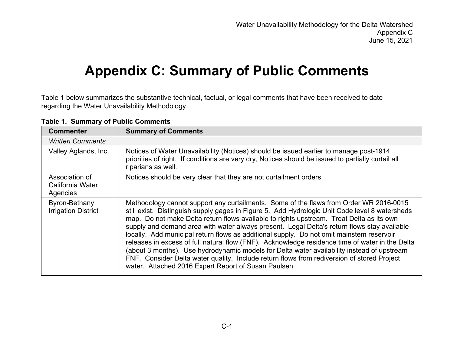## **Appendix C: Summary of Public Comments**

Table 1 below summarizes the substantive technical, factual, or legal comments that have been received to date regarding the Water Unavailability Methodology.

| <b>Commenter</b>                               | <b>Summary of Comments</b>                                                                                                                                                                                                                                                                                                                                                                                                                                                                                                                                                                                                                                                                                                                                                                                                             |
|------------------------------------------------|----------------------------------------------------------------------------------------------------------------------------------------------------------------------------------------------------------------------------------------------------------------------------------------------------------------------------------------------------------------------------------------------------------------------------------------------------------------------------------------------------------------------------------------------------------------------------------------------------------------------------------------------------------------------------------------------------------------------------------------------------------------------------------------------------------------------------------------|
| <b>Written Comments</b>                        |                                                                                                                                                                                                                                                                                                                                                                                                                                                                                                                                                                                                                                                                                                                                                                                                                                        |
| Valley Aglands, Inc.                           | Notices of Water Unavailability (Notices) should be issued earlier to manage post-1914<br>priorities of right. If conditions are very dry, Notices should be issued to partially curtail all<br>riparians as well.                                                                                                                                                                                                                                                                                                                                                                                                                                                                                                                                                                                                                     |
| Association of<br>California Water<br>Agencies | Notices should be very clear that they are not curtailment orders.                                                                                                                                                                                                                                                                                                                                                                                                                                                                                                                                                                                                                                                                                                                                                                     |
| Byron-Bethany<br><b>Irrigation District</b>    | Methodology cannot support any curtailments. Some of the flaws from Order WR 2016-0015<br>still exist. Distinguish supply gages in Figure 5. Add Hydrologic Unit Code level 8 watersheds<br>map. Do not make Delta return flows available to rights upstream. Treat Delta as its own<br>supply and demand area with water always present. Legal Delta's return flows stay available<br>locally. Add municipal return flows as additional supply. Do not omit mainstem reservoir<br>releases in excess of full natural flow (FNF). Acknowledge residence time of water in the Delta<br>(about 3 months). Use hydrodynamic models for Delta water availability instead of upstream<br>FNF. Consider Delta water quality. Include return flows from rediversion of stored Project<br>water. Attached 2016 Expert Report of Susan Paulsen. |

**Table 1. Summary of Public Comments**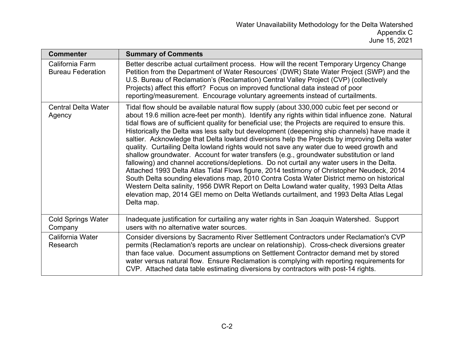| <b>Commenter</b>                            | <b>Summary of Comments</b>                                                                                                                                                                                                                                                                                                                                                                                                                                                                                                                                                                                                                                                                                                                                                                                                                                                                                                                                                                                                                                                                                                                                                                 |
|---------------------------------------------|--------------------------------------------------------------------------------------------------------------------------------------------------------------------------------------------------------------------------------------------------------------------------------------------------------------------------------------------------------------------------------------------------------------------------------------------------------------------------------------------------------------------------------------------------------------------------------------------------------------------------------------------------------------------------------------------------------------------------------------------------------------------------------------------------------------------------------------------------------------------------------------------------------------------------------------------------------------------------------------------------------------------------------------------------------------------------------------------------------------------------------------------------------------------------------------------|
| California Farm<br><b>Bureau Federation</b> | Better describe actual curtailment process. How will the recent Temporary Urgency Change<br>Petition from the Department of Water Resources' (DWR) State Water Project (SWP) and the<br>U.S. Bureau of Reclamation's (Reclamation) Central Valley Project (CVP) (collectively<br>Projects) affect this effort? Focus on improved functional data instead of poor<br>reporting/measurement. Encourage voluntary agreements instead of curtailments.                                                                                                                                                                                                                                                                                                                                                                                                                                                                                                                                                                                                                                                                                                                                         |
| <b>Central Delta Water</b><br>Agency        | Tidal flow should be available natural flow supply (about 330,000 cubic feet per second or<br>about 19.6 million acre-feet per month). Identify any rights within tidal influence zone. Natural<br>tidal flows are of sufficient quality for beneficial use; the Projects are required to ensure this.<br>Historically the Delta was less salty but development (deepening ship channels) have made it<br>saltier. Acknowledge that Delta lowland diversions help the Projects by improving Delta water<br>quality. Curtailing Delta lowland rights would not save any water due to weed growth and<br>shallow groundwater. Account for water transfers (e.g., groundwater substitution or land<br>fallowing) and channel accretions/depletions. Do not curtail any water users in the Delta.<br>Attached 1993 Delta Atlas Tidal Flows figure, 2014 testimony of Christopher Neudeck, 2014<br>South Delta sounding elevations map, 2010 Contra Costa Water District memo on historical<br>Western Delta salinity, 1956 DWR Report on Delta Lowland water quality, 1993 Delta Atlas<br>elevation map, 2014 GEI memo on Delta Wetlands curtailment, and 1993 Delta Atlas Legal<br>Delta map. |
| <b>Cold Springs Water</b><br>Company        | Inadequate justification for curtailing any water rights in San Joaquin Watershed. Support<br>users with no alternative water sources.                                                                                                                                                                                                                                                                                                                                                                                                                                                                                                                                                                                                                                                                                                                                                                                                                                                                                                                                                                                                                                                     |
| California Water<br>Research                | Consider diversions by Sacramento River Settlement Contractors under Reclamation's CVP<br>permits (Reclamation's reports are unclear on relationship). Cross-check diversions greater<br>than face value. Document assumptions on Settlement Contractor demand met by stored<br>water versus natural flow. Ensure Reclamation is complying with reporting requirements for<br>CVP. Attached data table estimating diversions by contractors with post-14 rights.                                                                                                                                                                                                                                                                                                                                                                                                                                                                                                                                                                                                                                                                                                                           |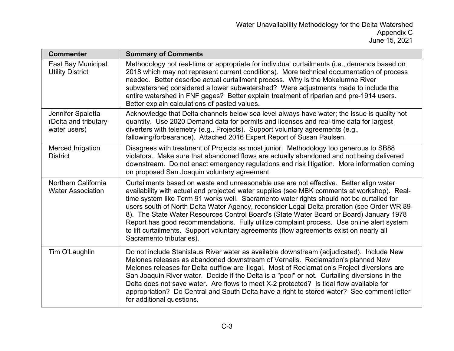| <b>Commenter</b>                                          | <b>Summary of Comments</b>                                                                                                                                                                                                                                                                                                                                                                                                                                                                                                                                                                                                                                                                      |
|-----------------------------------------------------------|-------------------------------------------------------------------------------------------------------------------------------------------------------------------------------------------------------------------------------------------------------------------------------------------------------------------------------------------------------------------------------------------------------------------------------------------------------------------------------------------------------------------------------------------------------------------------------------------------------------------------------------------------------------------------------------------------|
| East Bay Municipal<br><b>Utility District</b>             | Methodology not real-time or appropriate for individual curtailments (i.e., demands based on<br>2018 which may not represent current conditions). More technical documentation of process<br>needed. Better describe actual curtailment process. Why is the Mokelumne River<br>subwatershed considered a lower subwatershed? Were adjustments made to include the<br>entire watershed in FNF gages? Better explain treatment of riparian and pre-1914 users.<br>Better explain calculations of pasted values.                                                                                                                                                                                   |
| Jennifer Spaletta<br>(Delta and tributary<br>water users) | Acknowledge that Delta channels below sea level always have water; the issue is quality not<br>quantity. Use 2020 Demand data for permits and licenses and real-time data for largest<br>diverters with telemetry (e.g., Projects). Support voluntary agreements (e.g.,<br>fallowing/forbearance). Attached 2016 Expert Report of Susan Paulsen.                                                                                                                                                                                                                                                                                                                                                |
| Merced Irrigation<br><b>District</b>                      | Disagrees with treatment of Projects as most junior. Methodology too generous to SB88<br>violators. Make sure that abandoned flows are actually abandoned and not being delivered<br>downstream. Do not enact emergency regulations and risk litigation. More information coming<br>on proposed San Joaquin voluntary agreement.                                                                                                                                                                                                                                                                                                                                                                |
| Northern California<br><b>Water Association</b>           | Curtailments based on waste and unreasonable use are not effective. Better align water<br>availability with actual and projected water supplies (see MBK comments at workshop). Real-<br>time system like Term 91 works well. Sacramento water rights should not be curtailed for<br>users south of North Delta Water Agency, reconsider Legal Delta proration (see Order WR 89-<br>8). The State Water Resources Control Board's (State Water Board or Board) January 1978<br>Report has good recommendations. Fully utilize complaint process. Use online alert system<br>to lift curtailments. Support voluntary agreements (flow agreements exist on nearly all<br>Sacramento tributaries). |
| Tim O'Laughlin                                            | Do not include Stanislaus River water as available downstream (adjudicated). Include New<br>Melones releases as abandoned downstream of Vernalis. Reclamation's planned New<br>Melones releases for Delta outflow are illegal. Most of Reclamation's Project diversions are<br>San Joaquin River water. Decide if the Delta is a "pool" or not. Curtailing diversions in the<br>Delta does not save water. Are flows to meet X-2 protected? Is tidal flow available for<br>appropriation? Do Central and South Delta have a right to stored water? See comment letter<br>for additional questions.                                                                                              |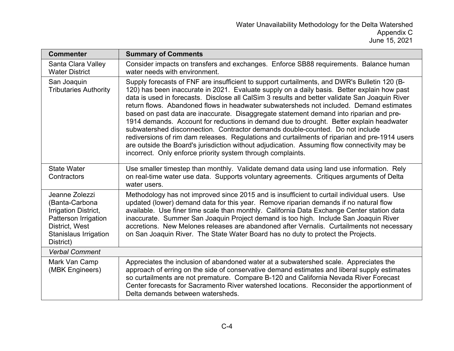| <b>Commenter</b>                                                                                                                                | <b>Summary of Comments</b>                                                                                                                                                                                                                                                                                                                                                                                                                                                                                                                                                                                                                                                                                                                                                                                                                                                                                                      |
|-------------------------------------------------------------------------------------------------------------------------------------------------|---------------------------------------------------------------------------------------------------------------------------------------------------------------------------------------------------------------------------------------------------------------------------------------------------------------------------------------------------------------------------------------------------------------------------------------------------------------------------------------------------------------------------------------------------------------------------------------------------------------------------------------------------------------------------------------------------------------------------------------------------------------------------------------------------------------------------------------------------------------------------------------------------------------------------------|
| Santa Clara Valley<br><b>Water District</b>                                                                                                     | Consider impacts on transfers and exchanges. Enforce SB88 requirements. Balance human<br>water needs with environment.                                                                                                                                                                                                                                                                                                                                                                                                                                                                                                                                                                                                                                                                                                                                                                                                          |
| San Joaquin<br><b>Tributaries Authority</b>                                                                                                     | Supply forecasts of FNF are insufficient to support curtailments, and DWR's Bulletin 120 (B-<br>120) has been inaccurate in 2021. Evaluate supply on a daily basis. Better explain how past<br>data is used in forecasts. Disclose all CalSim 3 results and better validate San Joaquin River<br>return flows. Abandoned flows in headwater subwatersheds not included. Demand estimates<br>based on past data are inaccurate. Disaggregate statement demand into riparian and pre-<br>1914 demands. Account for reductions in demand due to drought. Better explain headwater<br>subwatershed disconnection. Contractor demands double-counted. Do not include<br>rediversions of rim dam releases. Regulations and curtailments of riparian and pre-1914 users<br>are outside the Board's jurisdiction without adjudication. Assuming flow connectivity may be<br>incorrect. Only enforce priority system through complaints. |
| <b>State Water</b><br>Contractors                                                                                                               | Use smaller timestep than monthly. Validate demand data using land use information. Rely<br>on real-time water use data. Supports voluntary agreements. Critiques arguments of Delta<br>water users.                                                                                                                                                                                                                                                                                                                                                                                                                                                                                                                                                                                                                                                                                                                            |
| Jeanne Zolezzi<br>(Banta-Carbona<br>Irrigation District,<br>Patterson Irrigation<br>District, West<br><b>Stanislaus Irrigation</b><br>District) | Methodology has not improved since 2015 and is insufficient to curtail individual users. Use<br>updated (lower) demand data for this year. Remove riparian demands if no natural flow<br>available. Use finer time scale than monthly. California Data Exchange Center station data<br>inaccurate. Summer San Joaquin Project demand is too high. Include San Joaquin River<br>accretions. New Melones releases are abandoned after Vernalis. Curtailments not necessary<br>on San Joaquin River. The State Water Board has no duty to protect the Projects.                                                                                                                                                                                                                                                                                                                                                                    |
| <b>Verbal Comment</b>                                                                                                                           |                                                                                                                                                                                                                                                                                                                                                                                                                                                                                                                                                                                                                                                                                                                                                                                                                                                                                                                                 |
| Mark Van Camp<br>(MBK Engineers)                                                                                                                | Appreciates the inclusion of abandoned water at a subwatershed scale. Appreciates the<br>approach of erring on the side of conservative demand estimates and liberal supply estimates<br>so curtailments are not premature. Compare B-120 and California Nevada River Forecast<br>Center forecasts for Sacramento River watershed locations. Reconsider the apportionment of<br>Delta demands between watersheds.                                                                                                                                                                                                                                                                                                                                                                                                                                                                                                               |